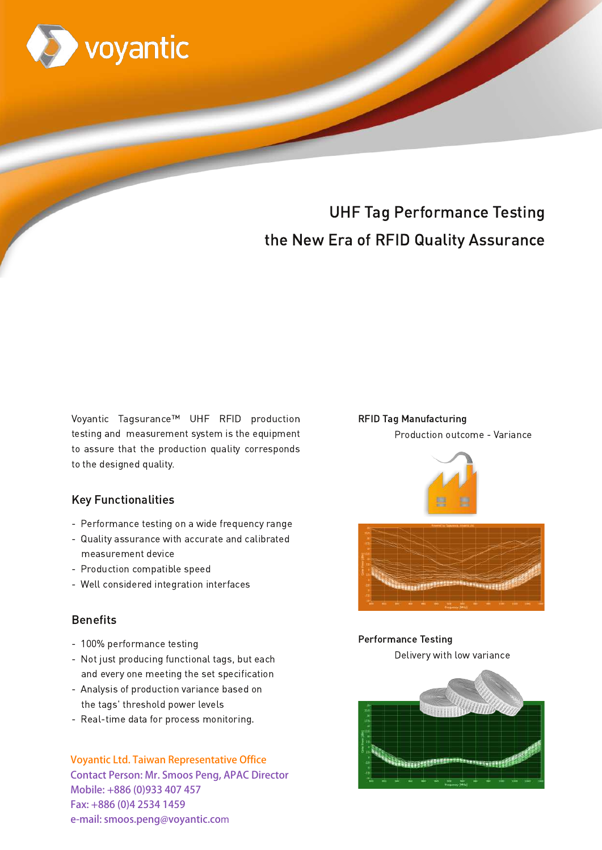

# **UHF Tag Performance Testing** the New Era of RFID Quality Assurance

# **Tagsurance UHF**

Voyantic Tagsurance™ UHF RFID production testing and measurement system is the equipment to assure that the production quality corresponds to the designed quality.

### **Key Functionalities**

- Performance testing on a wide frequency range
- Quality assurance with accurate and calibrated measurement device
- Production compatible speed
- Well considered integration interfaces

# **Benefits**

- 100% performance testing
- Not just producing functional tags, but each and every one meeting the set specification
- Analysis of production variance based on the tags' threshold power levels
- Real-time data for process monitoring.

**Voyantic Ltd. Taiwan Representative Office Contact Person: Mr. Smoos Peng, APAC Director** Mobile: +886 (0)933 407 457 Fax: +886 (0)4 2534 1459 e-mail: smoos.peng@voyantic.com

#### **RFID Tag Manufacturing**

Production outcome - Variance



## **Performance Testing**

Delivery with low variance